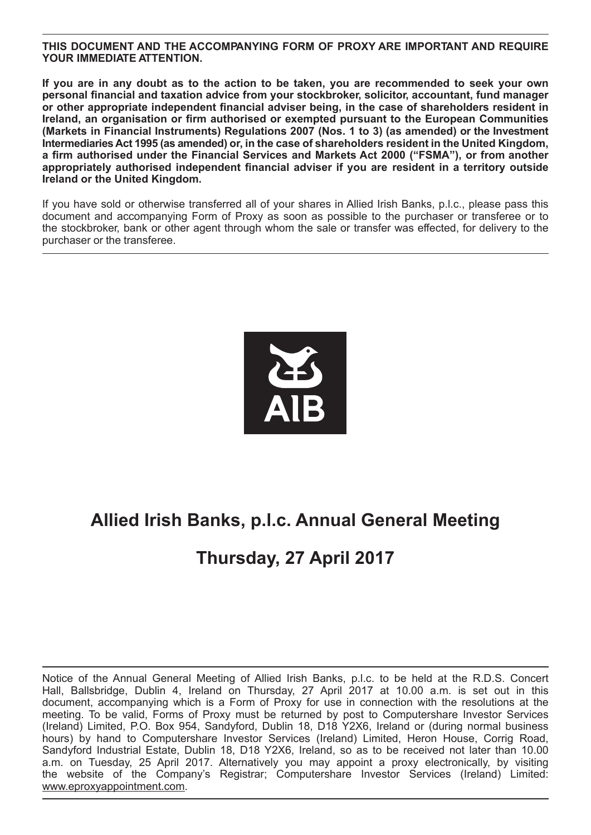#### **THIS DOCUMENT AND THE ACCOMPANYING FORM OF PROXY ARE IMPORTANT AND REQUIRE YOUR IMMEDIATE ATTENTION.**

**If you are in any doubt as to the action to be taken, you are recommended to seek your own personal financial and taxation advice from your stockbroker, solicitor, accountant, fund manager or other appropriate independent financial adviser being, in the case of shareholders resident in Ireland, an organisation or firm authorised or exempted pursuant to the European Communities (Markets in Financial Instruments) Regulations 2007 (Nos. 1 to 3) (as amended) or the Investment Intermediaries Act 1995 (as amended) or, in the case of shareholders resident in the United Kingdom, a firm authorised under the Financial Services and Markets Act 2000 ("FSMA"), or from another appropriately authorised independent financial adviser if you are resident in a territory outside Ireland or the United Kingdom.**

If you have sold or otherwise transferred all of your shares in Allied Irish Banks, p.l.c., please pass this document and accompanying Form of Proxy as soon as possible to the purchaser or transferee or to the stockbroker, bank or other agent through whom the sale or transfer was effected, for delivery to the purchaser or the transferee.



## **Allied Irish Banks, p.l.c. Annual General Meeting**

## **Thursday, 27 April 2017**

Notice of the Annual General Meeting of Allied Irish Banks, p.l.c. to be held at the R.D.S. Concert Hall, Ballsbridge, Dublin 4, Ireland on Thursday, 27 April 2017 at 10.00 a.m. is set out in this document, accompanying which is a Form of Proxy for use in connection with the resolutions at the meeting. To be valid, Forms of Proxy must be returned by post to Computershare Investor Services (Ireland) Limited, P.O. Box 954, Sandyford, Dublin 18, D18 Y2X6, Ireland or (during normal business hours) by hand to Computershare Investor Services (Ireland) Limited, Heron House, Corrig Road, Sandyford Industrial Estate, Dublin 18, D18 Y2X6, Ireland, so as to be received not later than 10.00 a.m. on Tuesday, 25 April 2017. Alternatively you may appoint a proxy electronically, by visiting the website of the Company's Registrar; Computershare Investor Services (Ireland) Limited: www.eproxyappointment.com.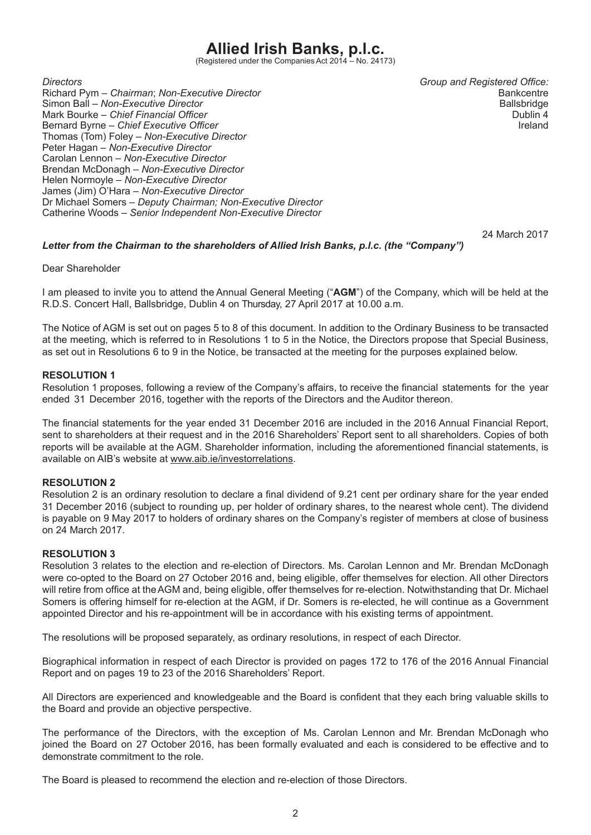# **Allied Irish Banks, p.l.c.**<br>(Registered under the Companies Act 2014 – No. 24173)

*Directors Group and Registered Office:* Richard Pym – *Chairman*; *Non-Executive Director* Bankcentre Bankcentre Bankcentre<br>Simon Ball – Non-Executive Director Bankcentre Ballsbridge Simon Ball – *Non-Executive Director*<br>Mark Bourke – *Chief Financial Officer* Ballsbridge – Ballsbridge – Ballsbridge – Ballsbridge – Ballsbridge – B Mark Bourke – *Chief Financial Officer*<br>Bernard Byrne – *Chief Executive Officer* Dublin 4 Bernard Byrne – Chief Executive Officer Thomas (Tom) Foley – *Non-Executive Director* Peter Hagan – *Non-Executive Director*  Carolan Lennon – *Non-Executive Director* Brendan McDonagh – *Non-Executive Director* Helen Normoyle – *Non-Executive Director* James (Jim) O'Hara – *Non-Executive Director* Dr Michael Somers – *Deputy Chairman; Non-Executive Director* Catherine Woods – *Senior Independent Non-Executive Director*

24 March 2017

#### *Letter from the Chairman to the shareholders of Allied Irish Banks, p.l.c. (the "Company")*

Dear Shareholder

I am pleased to invite you to attend the Annual General Meeting ("**AGM**") of the Company, which will be held at the R.D.S. Concert Hall, Ballsbridge, Dublin 4 on Thursday, 27 April 2017 at 10.00 a.m.

The Notice of AGM is set out on pages 5 to 8 of this document. In addition to the Ordinary Business to be transacted at the meeting, which is referred to in Resolutions 1 to 5 in the Notice, the Directors propose that Special Business, as set out in Resolutions 6 to 9 in the Notice, be transacted at the meeting for the purposes explained below.

#### **RESOLUTION 1**

Resolution 1 proposes, following a review of the Company's affairs, to receive the financial statements for the year ended 31 December 2016, together with the reports of the Directors and the Auditor thereon.

The financial statements for the year ended 31 December 2016 are included in the 2016 Annual Financial Report, sent to shareholders at their request and in the 2016 Shareholders' Report sent to all shareholders. Copies of both reports will be available at the AGM. Shareholder information, including the aforementioned financial statements, is available on AIB's website at www.aib.ie/investorrelations.

#### **RESOLUTION 2**

Resolution 2 is an ordinary resolution to declare a final dividend of 9.21 cent per ordinary share for the year ended 31 December 2016 (subject to rounding up, per holder of ordinary shares, to the nearest whole cent). The dividend is payable on 9 May 2017 to holders of ordinary shares on the Company's register of members at close of business on 24 March 2017.

#### **RESOLUTION 3**

Resolution 3 relates to the election and re-election of Directors. Ms. Carolan Lennon and Mr. Brendan McDonagh were co-opted to the Board on 27 October 2016 and, being eligible, offer themselves for election. All other Directors will retire from office at the AGM and, being eligible, offer themselves for re-election. Notwithstanding that Dr. Michael Somers is offering himself for re-election at the AGM, if Dr. Somers is re-elected, he will continue as a Government appointed Director and his re-appointment will be in accordance with his existing terms of appointment.

The resolutions will be proposed separately, as ordinary resolutions, in respect of each Director.

Biographical information in respect of each Director is provided on pages 172 to 176 of the 2016 Annual Financial Report and on pages 19 to 23 of the 2016 Shareholders' Report.

All Directors are experienced and knowledgeable and the Board is confident that they each bring valuable skills to the Board and provide an objective perspective.

The performance of the Directors, with the exception of Ms. Carolan Lennon and Mr. Brendan McDonagh who joined the Board on 27 October 2016, has been formally evaluated and each is considered to be effective and to demonstrate commitment to the role.

The Board is pleased to recommend the election and re-election of those Directors.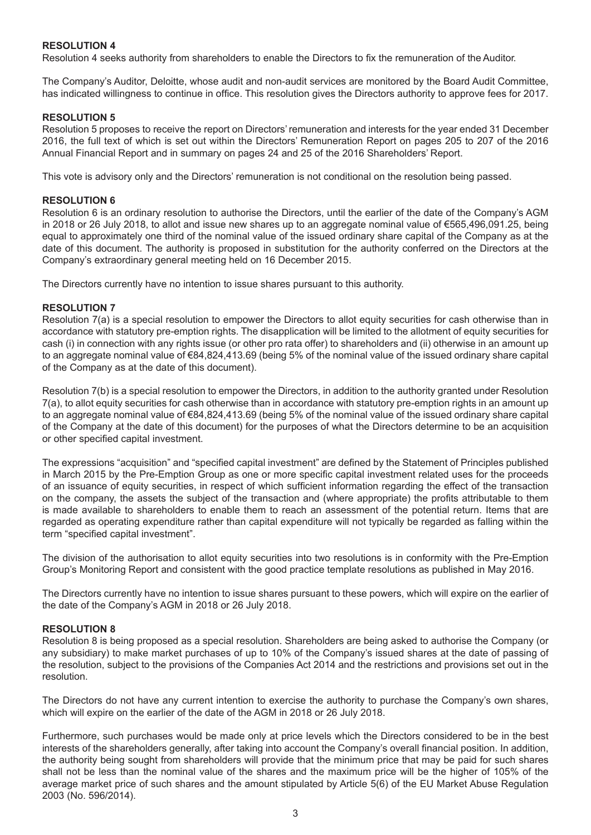#### **RESOLUTION 4**

Resolution 4 seeks authority from shareholders to enable the Directors to fix the remuneration of the Auditor.

The Company's Auditor, Deloitte, whose audit and non-audit services are monitored by the Board Audit Committee, has indicated willingness to continue in office. This resolution gives the Directors authority to approve fees for 2017.

#### **RESOLUTION 5**

Resolution 5 proposes to receive the report on Directors' remuneration and interests for the year ended 31 December 2016, the full text of which is set out within the Directors' Remuneration Report on pages 205 to 207 of the 2016 Annual Financial Report and in summary on pages 24 and 25 of the 2016 Shareholders' Report.

This vote is advisory only and the Directors' remuneration is not conditional on the resolution being passed.

#### **RESOLUTION 6**

Resolution 6 is an ordinary resolution to authorise the Directors, until the earlier of the date of the Company's AGM in 2018 or 26 July 2018, to allot and issue new shares up to an aggregate nominal value of €565,496,091.25, being equal to approximately one third of the nominal value of the issued ordinary share capital of the Company as at the date of this document. The authority is proposed in substitution for the authority conferred on the Directors at the Company's extraordinary general meeting held on 16 December 2015.

The Directors currently have no intention to issue shares pursuant to this authority.

#### **RESOLUTION 7**

Resolution 7(a) is a special resolution to empower the Directors to allot equity securities for cash otherwise than in accordance with statutory pre-emption rights. The disapplication will be limited to the allotment of equity securities for cash (i) in connection with any rights issue (or other pro rata offer) to shareholders and (ii) otherwise in an amount up to an aggregate nominal value of €84,824,413.69 (being 5% of the nominal value of the issued ordinary share capital of the Company as at the date of this document).

Resolution 7(b) is a special resolution to empower the Directors, in addition to the authority granted under Resolution 7(a), to allot equity securities for cash otherwise than in accordance with statutory pre-emption rights in an amount up to an aggregate nominal value of €84,824,413.69 (being 5% of the nominal value of the issued ordinary share capital of the Company at the date of this document) for the purposes of what the Directors determine to be an acquisition or other specified capital investment.

The expressions "acquisition" and "specified capital investment" are defined by the Statement of Principles published in March 2015 by the Pre-Emption Group as one or more specific capital investment related uses for the proceeds of an issuance of equity securities, in respect of which sufficient information regarding the effect of the transaction on the company, the assets the subject of the transaction and (where appropriate) the profits attributable to them is made available to shareholders to enable them to reach an assessment of the potential return. Items that are regarded as operating expenditure rather than capital expenditure will not typically be regarded as falling within the term "specified capital investment".

The division of the authorisation to allot equity securities into two resolutions is in conformity with the Pre-Emption Group's Monitoring Report and consistent with the good practice template resolutions as published in May 2016.

The Directors currently have no intention to issue shares pursuant to these powers, which will expire on the earlier of the date of the Company's AGM in 2018 or 26 July 2018.

#### **RESOLUTION 8**

Resolution 8 is being proposed as a special resolution. Shareholders are being asked to authorise the Company (or any subsidiary) to make market purchases of up to 10% of the Company's issued shares at the date of passing of the resolution, subject to the provisions of the Companies Act 2014 and the restrictions and provisions set out in the resolution.

The Directors do not have any current intention to exercise the authority to purchase the Company's own shares, which will expire on the earlier of the date of the AGM in 2018 or 26 July 2018.

Furthermore, such purchases would be made only at price levels which the Directors considered to be in the best interests of the shareholders generally, after taking into account the Company's overall financial position. In addition, the authority being sought from shareholders will provide that the minimum price that may be paid for such shares shall not be less than the nominal value of the shares and the maximum price will be the higher of 105% of the average market price of such shares and the amount stipulated by Article 5(6) of the EU Market Abuse Regulation 2003 (No. 596/2014).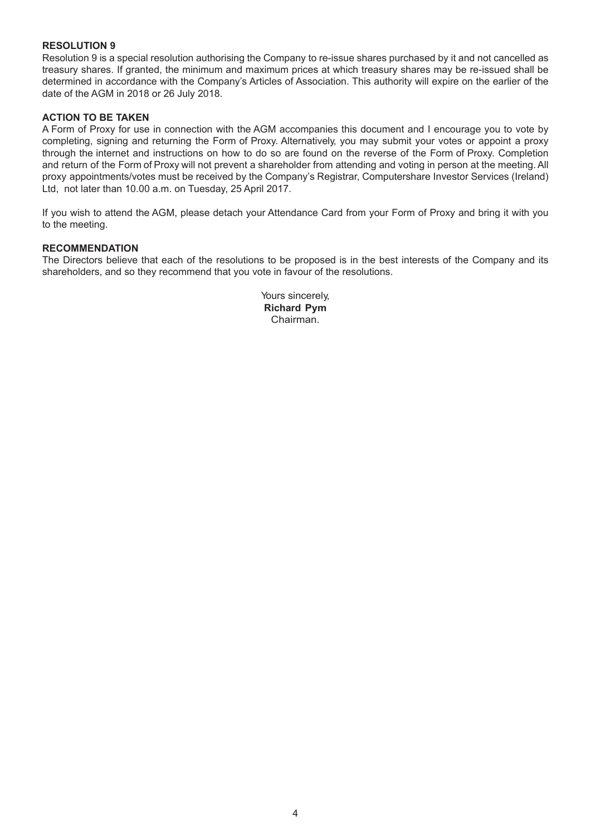#### **RESOLUTION 9**

Resolution 9 is a special resolution authorising the Company to re-issue shares purchased by it and not cancelled as treasury shares. If granted, the minimum and maximum prices at which treasury shares may be re-issued shall be determined in accordance with the Company's Articles of Association. This authority will expire on the earlier of the date of the AGM in 2018 or 26 July 2018.

#### **ACTION TO BE TAKEN**

A Form of Proxy for use in connection with the AGM accompanies this document and I encourage you to vote by completing, signing and returning the Form of Proxy. Alternatively, you may submit your votes or appoint a proxy through the internet and instructions on how to do so are found on the reverse of the Form of Proxy. Completion and return of the Form of Proxy will not prevent a shareholder from attending and voting in person at the meeting. All proxy appointments/votes must be received by the Company's Registrar, Computershare Investor Services (Ireland) Ltd, not later than 10.00 a.m. on Tuesday, 25 April 2017.

If you wish to attend the AGM, please detach your Attendance Card from your Form of Proxy and bring it with you to the meeting.

#### **RECOMMENDATION**

The Directors believe that each of the resolutions to be proposed is in the best interests of the Company and its shareholders, and so they recommend that you vote in favour of the resolutions.

> Yours sincerely, **Richard Pym** Chairman.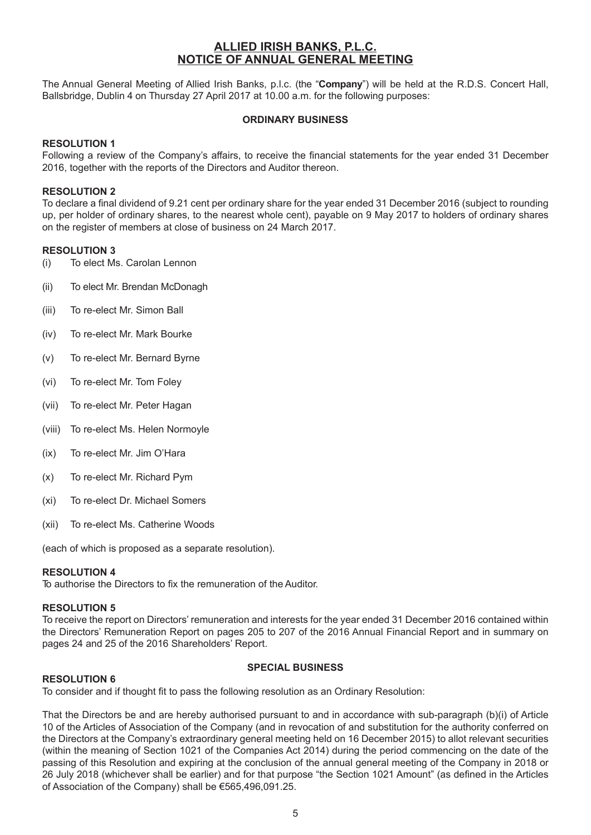#### **ALLIED IRISH BANKS, P.L.C. NOTICE OF ANNUAL GENERAL MEETING**

The Annual General Meeting of Allied Irish Banks, p.l.c. (the "**Company**") will be held at the R.D.S. Concert Hall, Ballsbridge, Dublin 4 on Thursday 27 April 2017 at 10.00 a.m. for the following purposes:

#### **ORDINARY BUSINESS**

#### **RESOLUTION 1**

Following a review of the Company's affairs, to receive the financial statements for the year ended 31 December 2016, together with the reports of the Directors and Auditor thereon.

#### **RESOLUTION 2**

To declare a final dividend of 9.21 cent per ordinary share for the year ended 31 December 2016 (subject to rounding up, per holder of ordinary shares, to the nearest whole cent), payable on 9 May 2017 to holders of ordinary shares on the register of members at close of business on 24 March 2017.

#### **RESOLUTION 3**

- (i) To elect Ms. Carolan Lennon
- (ii) To elect Mr. Brendan McDonagh
- (iii) To re-elect Mr. Simon Ball
- (iv) To re-elect Mr. Mark Bourke
- (v) To re-elect Mr. Bernard Byrne
- (vi) To re-elect Mr. Tom Foley
- (vii) To re-elect Mr. Peter Hagan
- (viii) To re-elect Ms. Helen Normoyle
- (ix) To re-elect Mr. Jim O'Hara
- (x) To re-elect Mr. Richard Pym
- (xi) To re-elect Dr. Michael Somers
- (xii) To re-elect Ms. Catherine Woods

(each of which is proposed as a separate resolution).

#### **RESOLUTION 4**

To authorise the Directors to fix the remuneration of the Auditor.

#### **RESOLUTION 5**

To receive the report on Directors' remuneration and interests for the year ended 31 December 2016 contained within the Directors' Remuneration Report on pages 205 to 207 of the 2016 Annual Financial Report and in summary on pages 24 and 25 of the 2016 Shareholders' Report.

#### **RESOLUTION 6**

#### **SPECIAL BUSINESS**

To consider and if thought fit to pass the following resolution as an Ordinary Resolution:

That the Directors be and are hereby authorised pursuant to and in accordance with sub-paragraph (b)(i) of Article 10 of the Articles of Association of the Company (and in revocation of and substitution for the authority conferred on the Directors at the Company's extraordinary general meeting held on 16 December 2015) to allot relevant securities (within the meaning of Section 1021 of the Companies Act 2014) during the period commencing on the date of the passing of this Resolution and expiring at the conclusion of the annual general meeting of the Company in 2018 or 26 July 2018 (whichever shall be earlier) and for that purpose "the Section 1021 Amount" (as defined in the Articles of Association of the Company) shall be €565,496,091.25.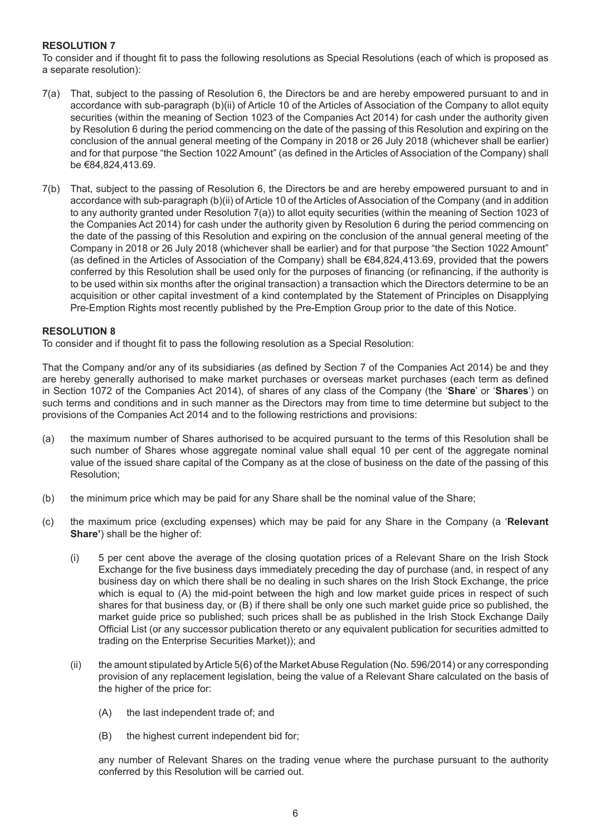#### **RESOLUTION 7**

To consider and if thought fit to pass the following resolutions as Special Resolutions (each of which is proposed as a separate resolution):

- 7(a) That, subject to the passing of Resolution 6, the Directors be and are hereby empowered pursuant to and in accordance with sub-paragraph (b)(ii) of Article 10 of the Articles of Association of the Company to allot equity securities (within the meaning of Section 1023 of the Companies Act 2014) for cash under the authority given by Resolution 6 during the period commencing on the date of the passing of this Resolution and expiring on the conclusion of the annual general meeting of the Company in 2018 or 26 July 2018 (whichever shall be earlier) and for that purpose "the Section 1022 Amount" (as defined in the Articles of Association of the Company) shall be €84,824,413.69.
- 7(b) That, subject to the passing of Resolution 6, the Directors be and are hereby empowered pursuant to and in accordance with sub-paragraph (b)(ii) of Article 10 of the Articles of Association of the Company (and in addition to any authority granted under Resolution 7(a)) to allot equity securities (within the meaning of Section 1023 of the Companies Act 2014) for cash under the authority given by Resolution 6 during the period commencing on the date of the passing of this Resolution and expiring on the conclusion of the annual general meeting of the Company in 2018 or 26 July 2018 (whichever shall be earlier) and for that purpose "the Section 1022 Amount" (as defined in the Articles of Association of the Company) shall be €84,824,413.69, provided that the powers conferred by this Resolution shall be used only for the purposes of financing (or refinancing, if the authority is to be used within six months after the original transaction) a transaction which the Directors determine to be an acquisition or other capital investment of a kind contemplated by the Statement of Principles on Disapplying Pre-Emption Rights most recently published by the Pre-Emption Group prior to the date of this Notice.

#### **RESOLUTION 8**

To consider and if thought fit to pass the following resolution as a Special Resolution:

That the Company and/or any of its subsidiaries (as defined by Section 7 of the Companies Act 2014) be and they are hereby generally authorised to make market purchases or overseas market purchases (each term as defined in Section 1072 of the Companies Act 2014), of shares of any class of the Company (the '**Share**' or '**Shares**') on such terms and conditions and in such manner as the Directors may from time to time determine but subject to the provisions of the Companies Act 2014 and to the following restrictions and provisions:

- (a) the maximum number of Shares authorised to be acquired pursuant to the terms of this Resolution shall be such number of Shares whose aggregate nominal value shall equal 10 per cent of the aggregate nominal value of the issued share capital of the Company as at the close of business on the date of the passing of this Resolution;
- (b) the minimum price which may be paid for any Share shall be the nominal value of the Share;
- (c) the maximum price (excluding expenses) which may be paid for any Share in the Company (a '**Relevant Share'**) shall be the higher of:
	- (i) 5 per cent above the average of the closing quotation prices of a Relevant Share on the Irish Stock Exchange for the five business days immediately preceding the day of purchase (and, in respect of any business day on which there shall be no dealing in such shares on the Irish Stock Exchange, the price which is equal to (A) the mid-point between the high and low market guide prices in respect of such shares for that business day, or (B) if there shall be only one such market guide price so published, the market guide price so published; such prices shall be as published in the Irish Stock Exchange Daily Official List (or any successor publication thereto or any equivalent publication for securities admitted to trading on the Enterprise Securities Market)); and
	- (ii) the amount stipulated by Article 5(6) of the Market Abuse Regulation (No. 596/2014) or any corresponding provision of any replacement legislation, being the value of a Relevant Share calculated on the basis of the higher of the price for:
		- (A) the last independent trade of; and
		- (B) the highest current independent bid for;

 any number of Relevant Shares on the trading venue where the purchase pursuant to the authority conferred by this Resolution will be carried out.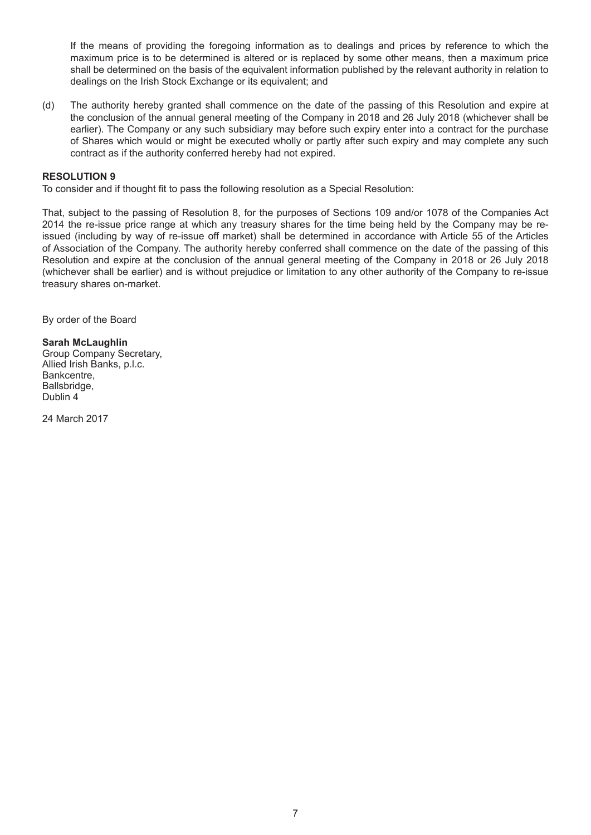If the means of providing the foregoing information as to dealings and prices by reference to which the maximum price is to be determined is altered or is replaced by some other means, then a maximum price shall be determined on the basis of the equivalent information published by the relevant authority in relation to dealings on the Irish Stock Exchange or its equivalent; and

(d) The authority hereby granted shall commence on the date of the passing of this Resolution and expire at the conclusion of the annual general meeting of the Company in 2018 and 26 July 2018 (whichever shall be earlier). The Company or any such subsidiary may before such expiry enter into a contract for the purchase of Shares which would or might be executed wholly or partly after such expiry and may complete any such contract as if the authority conferred hereby had not expired.

#### **RESOLUTION 9**

To consider and if thought fit to pass the following resolution as a Special Resolution:

That, subject to the passing of Resolution 8, for the purposes of Sections 109 and/or 1078 of the Companies Act 2014 the re-issue price range at which any treasury shares for the time being held by the Company may be reissued (including by way of re-issue off market) shall be determined in accordance with Article 55 of the Articles of Association of the Company. The authority hereby conferred shall commence on the date of the passing of this Resolution and expire at the conclusion of the annual general meeting of the Company in 2018 or 26 July 2018 (whichever shall be earlier) and is without prejudice or limitation to any other authority of the Company to re-issue treasury shares on-market.

By order of the Board

#### **Sarah McLaughlin**  Group Company Secretary, Allied Irish Banks, p.l.c. Bankcentre, Ballsbridge, Dublin 4

24 March 2017